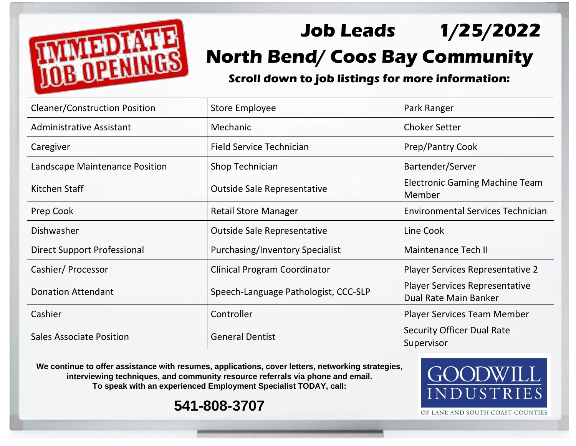

## **Job Leads 1/25/2022 North Bend/ Coos Bay Community**

**Scroll down to job listings for more information:**

| <b>Cleaner/Construction Position</b> | <b>Store Employee</b>                  | Park Ranger                                                    |
|--------------------------------------|----------------------------------------|----------------------------------------------------------------|
| <b>Administrative Assistant</b>      | Mechanic                               | <b>Choker Setter</b>                                           |
| Caregiver                            | <b>Field Service Technician</b>        | Prep/Pantry Cook                                               |
| Landscape Maintenance Position       | Shop Technician                        | Bartender/Server                                               |
| Kitchen Staff                        | <b>Outside Sale Representative</b>     | <b>Electronic Gaming Machine Team</b><br>Member                |
| Prep Cook                            | <b>Retail Store Manager</b>            | <b>Environmental Services Technician</b>                       |
| Dishwasher                           | <b>Outside Sale Representative</b>     | Line Cook                                                      |
| <b>Direct Support Professional</b>   | <b>Purchasing/Inventory Specialist</b> | Maintenance Tech II                                            |
| Cashier/Processor                    | <b>Clinical Program Coordinator</b>    | Player Services Representative 2                               |
| <b>Donation Attendant</b>            | Speech-Language Pathologist, CCC-SLP   | <b>Player Services Representative</b><br>Dual Rate Main Banker |
| Cashier                              | Controller                             | <b>Player Services Team Member</b>                             |
| <b>Sales Associate Position</b>      | <b>General Dentist</b>                 | <b>Security Officer Dual Rate</b><br>Supervisor                |

**We continue to offer assistance with resumes, applications, cover letters, networking strategies, interviewing techniques, and community resource referrals via phone and email. To speak with an experienced Employment Specialist TODAY, call:** 

**541-808-3707**



OF LANE AND SOUTH COAST COUNTIES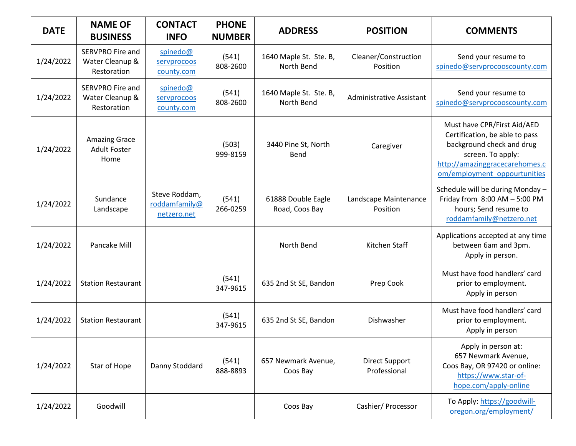| <b>DATE</b> | <b>NAME OF</b><br><b>BUSINESS</b>                         | <b>CONTACT</b><br><b>INFO</b>                 | <b>PHONE</b><br><b>NUMBER</b> | <b>ADDRESS</b>                       | <b>POSITION</b>                       | <b>COMMENTS</b>                                                                                                                                                                   |
|-------------|-----------------------------------------------------------|-----------------------------------------------|-------------------------------|--------------------------------------|---------------------------------------|-----------------------------------------------------------------------------------------------------------------------------------------------------------------------------------|
| 1/24/2022   | <b>SERVPRO Fire and</b><br>Water Cleanup &<br>Restoration | spinedo@<br>servprocoos<br>county.com         | (541)<br>808-2600             | 1640 Maple St. Ste. B,<br>North Bend | Cleaner/Construction<br>Position      | Send your resume to<br>spinedo@servprocooscounty.com                                                                                                                              |
| 1/24/2022   | <b>SERVPRO Fire and</b><br>Water Cleanup &<br>Restoration | spinedo@<br>servprocoos<br>county.com         | (541)<br>808-2600             | 1640 Maple St. Ste. B,<br>North Bend | <b>Administrative Assistant</b>       | Send your resume to<br>spinedo@servprocooscounty.com                                                                                                                              |
| 1/24/2022   | <b>Amazing Grace</b><br><b>Adult Foster</b><br>Home       |                                               | (503)<br>999-8159             | 3440 Pine St, North<br>Bend          | Caregiver                             | Must have CPR/First Aid/AED<br>Certification, be able to pass<br>background check and drug<br>screen. To apply:<br>http://amazinggracecarehomes.c<br>om/employment_oppourtunities |
| 1/24/2022   | Sundance<br>Landscape                                     | Steve Roddam,<br>roddamfamily@<br>netzero.net | (541)<br>266-0259             | 61888 Double Eagle<br>Road, Coos Bay | Landscape Maintenance<br>Position     | Schedule will be during Monday -<br>Friday from 8:00 AM - 5:00 PM<br>hours; Send resume to<br>roddamfamily@netzero.net                                                            |
| 1/24/2022   | Pancake Mill                                              |                                               |                               | North Bend                           | Kitchen Staff                         | Applications accepted at any time<br>between 6am and 3pm.<br>Apply in person.                                                                                                     |
| 1/24/2022   | <b>Station Restaurant</b>                                 |                                               | (541)<br>347-9615             | 635 2nd St SE, Bandon                | Prep Cook                             | Must have food handlers' card<br>prior to employment.<br>Apply in person                                                                                                          |
| 1/24/2022   | <b>Station Restaurant</b>                                 |                                               | (541)<br>347-9615             | 635 2nd St SE, Bandon                | Dishwasher                            | Must have food handlers' card<br>prior to employment.<br>Apply in person                                                                                                          |
| 1/24/2022   | Star of Hope                                              | Danny Stoddard                                | (541)<br>888-8893             | 657 Newmark Avenue,<br>Coos Bay      | <b>Direct Support</b><br>Professional | Apply in person at:<br>657 Newmark Avenue,<br>Coos Bay, OR 97420 or online:<br>https://www.star-of-<br>hope.com/apply-online                                                      |
| 1/24/2022   | Goodwill                                                  |                                               |                               | Coos Bay                             | Cashier/Processor                     | To Apply: https://goodwill-<br>oregon.org/employment/                                                                                                                             |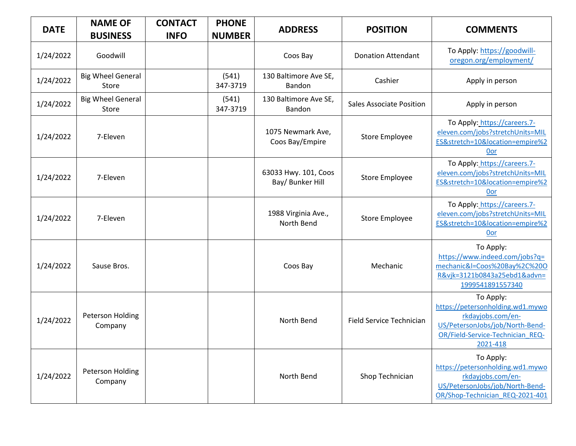| <b>DATE</b> | <b>NAME OF</b><br><b>BUSINESS</b>  | <b>CONTACT</b><br><b>INFO</b> | <b>PHONE</b><br><b>NUMBER</b> | <b>ADDRESS</b>                           | <b>POSITION</b>                 | <b>COMMENTS</b>                                                                                                                                       |
|-------------|------------------------------------|-------------------------------|-------------------------------|------------------------------------------|---------------------------------|-------------------------------------------------------------------------------------------------------------------------------------------------------|
| 1/24/2022   | Goodwill                           |                               |                               | Coos Bay                                 | <b>Donation Attendant</b>       | To Apply: https://goodwill-<br>oregon.org/employment/                                                                                                 |
| 1/24/2022   | <b>Big Wheel General</b><br>Store  |                               | (541)<br>347-3719             | 130 Baltimore Ave SE,<br>Bandon          | Cashier                         | Apply in person                                                                                                                                       |
| 1/24/2022   | <b>Big Wheel General</b><br>Store  |                               | (541)<br>347-3719             | 130 Baltimore Ave SE,<br>Bandon          | <b>Sales Associate Position</b> | Apply in person                                                                                                                                       |
| 1/24/2022   | 7-Eleven                           |                               |                               | 1075 Newmark Ave,<br>Coos Bay/Empire     | <b>Store Employee</b>           | To Apply: https://careers.7-<br>eleven.com/jobs?stretchUnits=MIL<br>ES&stretch=10&location=empire%2<br>0or                                            |
| 1/24/2022   | 7-Eleven                           |                               |                               | 63033 Hwy. 101, Coos<br>Bay/ Bunker Hill | Store Employee                  | To Apply: https://careers.7-<br>eleven.com/jobs?stretchUnits=MIL<br>ES&stretch=10&location=empire%2<br>0or                                            |
| 1/24/2022   | 7-Eleven                           |                               |                               | 1988 Virginia Ave.,<br>North Bend        | <b>Store Employee</b>           | To Apply: https://careers.7-<br>eleven.com/jobs?stretchUnits=MIL<br>ES&stretch=10&location=empire%2<br>0or                                            |
| 1/24/2022   | Sause Bros.                        |                               |                               | Coos Bay                                 | Mechanic                        | To Apply:<br>https://www.indeed.com/jobs?q=<br>mechanic&l=Coos%20Bay%2C%20O<br>R&vjk=3121b0843a25ebd1&advn=<br>1999541891557340                       |
| 1/24/2022   | Peterson Holding<br>Company        |                               |                               | North Bend                               | Field Service Technician        | To Apply:<br>https://petersonholding.wd1.mywo<br>rkdayjobs.com/en-<br>US/PetersonJobs/job/North-Bend-<br>OR/Field-Service-Technician REQ-<br>2021-418 |
| 1/24/2022   | <b>Peterson Holding</b><br>Company |                               |                               | North Bend                               | Shop Technician                 | To Apply:<br>https://petersonholding.wd1.mywo<br>rkdayjobs.com/en-<br>US/PetersonJobs/job/North-Bend-<br>OR/Shop-Technician REQ-2021-401              |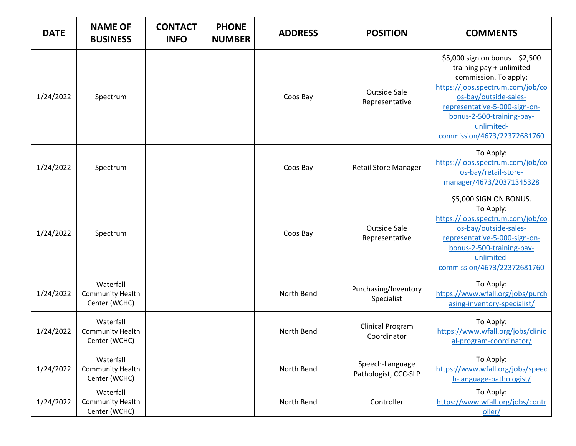| <b>DATE</b> | <b>NAME OF</b><br><b>BUSINESS</b>                     | <b>CONTACT</b><br><b>INFO</b> | <b>PHONE</b><br><b>NUMBER</b> | <b>ADDRESS</b> | <b>POSITION</b>                         | <b>COMMENTS</b>                                                                                                                                                                                                                                              |
|-------------|-------------------------------------------------------|-------------------------------|-------------------------------|----------------|-----------------------------------------|--------------------------------------------------------------------------------------------------------------------------------------------------------------------------------------------------------------------------------------------------------------|
| 1/24/2022   | Spectrum                                              |                               |                               | Coos Bay       | <b>Outside Sale</b><br>Representative   | \$5,000 sign on bonus + \$2,500<br>training pay + unlimited<br>commission. To apply:<br>https://jobs.spectrum.com/job/co<br>os-bay/outside-sales-<br>representative-5-000-sign-on-<br>bonus-2-500-training-pay-<br>unlimited-<br>commission/4673/22372681760 |
| 1/24/2022   | Spectrum                                              |                               |                               | Coos Bay       | <b>Retail Store Manager</b>             | To Apply:<br>https://jobs.spectrum.com/job/co<br>os-bay/retail-store-<br>manager/4673/20371345328                                                                                                                                                            |
| 1/24/2022   | Spectrum                                              |                               |                               | Coos Bay       | <b>Outside Sale</b><br>Representative   | \$5,000 SIGN ON BONUS.<br>To Apply:<br>https://jobs.spectrum.com/job/co<br>os-bay/outside-sales-<br>representative-5-000-sign-on-<br>bonus-2-500-training-pay-<br>unlimited-<br>commission/4673/22372681760                                                  |
| 1/24/2022   | Waterfall<br><b>Community Health</b><br>Center (WCHC) |                               |                               | North Bend     | Purchasing/Inventory<br>Specialist      | To Apply:<br>https://www.wfall.org/jobs/purch<br>asing-inventory-specialist/                                                                                                                                                                                 |
| 1/24/2022   | Waterfall<br><b>Community Health</b><br>Center (WCHC) |                               |                               | North Bend     | <b>Clinical Program</b><br>Coordinator  | To Apply:<br>https://www.wfall.org/jobs/clinic<br>al-program-coordinator/                                                                                                                                                                                    |
| 1/24/2022   | Waterfall<br><b>Community Health</b><br>Center (WCHC) |                               |                               | North Bend     | Speech-Language<br>Pathologist, CCC-SLP | To Apply:<br>https://www.wfall.org/jobs/speec<br>h-language-pathologist/                                                                                                                                                                                     |
| 1/24/2022   | Waterfall<br><b>Community Health</b><br>Center (WCHC) |                               |                               | North Bend     | Controller                              | To Apply:<br>https://www.wfall.org/jobs/contr<br>oller/                                                                                                                                                                                                      |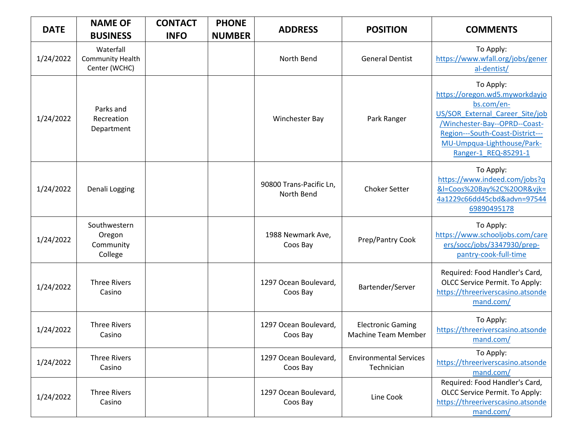| <b>DATE</b> | <b>NAME OF</b><br><b>BUSINESS</b>                     | <b>CONTACT</b><br><b>INFO</b> | <b>PHONE</b><br><b>NUMBER</b> | <b>ADDRESS</b>                        | <b>POSITION</b>                                        | <b>COMMENTS</b>                                                                                                                                                                                                         |
|-------------|-------------------------------------------------------|-------------------------------|-------------------------------|---------------------------------------|--------------------------------------------------------|-------------------------------------------------------------------------------------------------------------------------------------------------------------------------------------------------------------------------|
| 1/24/2022   | Waterfall<br><b>Community Health</b><br>Center (WCHC) |                               |                               | North Bend                            | <b>General Dentist</b>                                 | To Apply:<br>https://www.wfall.org/jobs/gener<br>al-dentist/                                                                                                                                                            |
| 1/24/2022   | Parks and<br>Recreation<br>Department                 |                               |                               | Winchester Bay                        | Park Ranger                                            | To Apply:<br>https://oregon.wd5.myworkdayjo<br>bs.com/en-<br>US/SOR External Career Site/job<br>/Winchester-Bay--OPRD--Coast-<br>Region---South-Coast-District---<br>MU-Umpqua-Lighthouse/Park-<br>Ranger-1 REQ-85291-1 |
| 1/24/2022   | Denali Logging                                        |                               |                               | 90800 Trans-Pacific Ln,<br>North Bend | <b>Choker Setter</b>                                   | To Apply:<br>https://www.indeed.com/jobs?q<br>&I=Coos%20Bay%2C%20OR&vjk=<br>4a1229c66dd45cbd&advn=97544<br>69890495178                                                                                                  |
| 1/24/2022   | Southwestern<br>Oregon<br>Community<br>College        |                               |                               | 1988 Newmark Ave,<br>Coos Bay         | Prep/Pantry Cook                                       | To Apply:<br>https://www.schooljobs.com/care<br>ers/socc/jobs/3347930/prep-<br>pantry-cook-full-time                                                                                                                    |
| 1/24/2022   | <b>Three Rivers</b><br>Casino                         |                               |                               | 1297 Ocean Boulevard,<br>Coos Bay     | Bartender/Server                                       | Required: Food Handler's Card,<br>OLCC Service Permit. To Apply:<br>https://threeriverscasino.atsonde<br>mand.com/                                                                                                      |
| 1/24/2022   | <b>Three Rivers</b><br>Casino                         |                               |                               | 1297 Ocean Boulevard,<br>Coos Bay     | <b>Electronic Gaming</b><br><b>Machine Team Member</b> | To Apply:<br>https://threeriverscasino.atsonde<br>mand.com/                                                                                                                                                             |
| 1/24/2022   | <b>Three Rivers</b><br>Casino                         |                               |                               | 1297 Ocean Boulevard,<br>Coos Bay     | <b>Environmental Services</b><br>Technician            | To Apply:<br>https://threeriverscasino.atsonde<br>mand.com/                                                                                                                                                             |
| 1/24/2022   | <b>Three Rivers</b><br>Casino                         |                               |                               | 1297 Ocean Boulevard,<br>Coos Bay     | Line Cook                                              | Required: Food Handler's Card,<br>OLCC Service Permit. To Apply:<br>https://threeriverscasino.atsonde<br>mand.com/                                                                                                      |